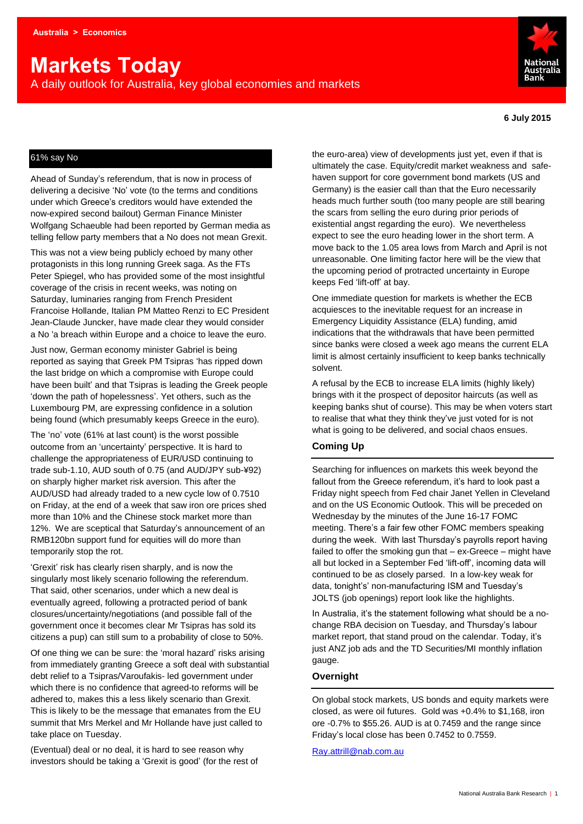# **Markets Today**

A daily outlook for Australia, key global economies and markets



#### **6 July 2015**

## 61% say No

Ahead of Sunday's referendum, that is now in process of delivering a decisive 'No' vote (to the terms and conditions under which Greece's creditors would have extended the now-expired second bailout) German Finance Minister Wolfgang Schaeuble had been reported by German media as telling fellow party members that a No does not mean Grexit.

This was not a view being publicly echoed by many other protagonists in this long running Greek saga. As the FTs Peter Spiegel, who has provided some of the most insightful coverage of the crisis in recent weeks, was noting on Saturday, luminaries ranging from French President Francoise Hollande, Italian PM Matteo Renzi to EC President Jean-Claude Juncker, have made clear they would consider a No 'a breach within Europe and a choice to leave the euro.

Just now, German economy minister Gabriel is being reported as saying that Greek PM Tsipras 'has ripped down the last bridge on which a compromise with Europe could have been built' and that Tsipras is leading the Greek people 'down the path of hopelessness'. Yet others, such as the Luxembourg PM, are expressing confidence in a solution being found (which presumably keeps Greece in the euro).

The 'no' vote (61% at last count) is the worst possible outcome from an 'uncertainty' perspective. It is hard to challenge the appropriateness of EUR/USD continuing to trade sub-1.10, AUD south of 0.75 (and AUD/JPY sub-¥92) on sharply higher market risk aversion. This after the AUD/USD had already traded to a new cycle low of 0.7510 on Friday, at the end of a week that saw iron ore prices shed more than 10% and the Chinese stock market more than 12%. We are sceptical that Saturday's announcement of an RMB120bn support fund for equities will do more than temporarily stop the rot.

'Grexit' risk has clearly risen sharply, and is now the singularly most likely scenario following the referendum. That said, other scenarios, under which a new deal is eventually agreed, following a protracted period of bank closures/uncertainty/negotiations (and possible fall of the government once it becomes clear Mr Tsipras has sold its citizens a pup) can still sum to a probability of close to 50%.

Of one thing we can be sure: the 'moral hazard' risks arising from immediately granting Greece a soft deal with substantial debt relief to a Tsipras/Varoufakis- led government under which there is no confidence that agreed-to reforms will be adhered to, makes this a less likely scenario than Grexit. This is likely to be the message that emanates from the EU summit that Mrs Merkel and Mr Hollande have just called to take place on Tuesday.

(Eventual) deal or no deal, it is hard to see reason why investors should be taking a 'Grexit is good' (for the rest of the euro-area) view of developments just yet, even if that is ultimately the case. Equity/credit market weakness and safehaven support for core government bond markets (US and Germany) is the easier call than that the Euro necessarily heads much further south (too many people are still bearing the scars from selling the euro during prior periods of existential angst regarding the euro). We nevertheless expect to see the euro heading lower in the short term. A move back to the 1.05 area lows from March and April is not unreasonable. One limiting factor here will be the view that the upcoming period of protracted uncertainty in Europe keeps Fed 'lift-off' at bay.

One immediate question for markets is whether the ECB acquiesces to the inevitable request for an increase in Emergency Liquidity Assistance (ELA) funding, amid indications that the withdrawals that have been permitted since banks were closed a week ago means the current ELA limit is almost certainly insufficient to keep banks technically solvent.

A refusal by the ECB to increase ELA limits (highly likely) brings with it the prospect of depositor haircuts (as well as keeping banks shut of course). This may be when voters start to realise that what they think they've just voted for is not what is going to be delivered, and social chaos ensues.

## **Coming Up**

Searching for influences on markets this week beyond the fallout from the Greece referendum, it's hard to look past a Friday night speech from Fed chair Janet Yellen in Cleveland and on the US Economic Outlook. This will be preceded on Wednesday by the minutes of the June 16-17 FOMC meeting. There's a fair few other FOMC members speaking during the week. With last Thursday's payrolls report having failed to offer the smoking gun that – ex-Greece – might have all but locked in a September Fed 'lift-off', incoming data will continued to be as closely parsed. In a low-key weak for data, tonight's' non-manufacturing ISM and Tuesday's JOLTS (job openings) report look like the highlights.

In Australia, it's the statement following what should be a nochange RBA decision on Tuesday, and Thursday's labour market report, that stand proud on the calendar. Today, it's just ANZ job ads and the TD Securities/MI monthly inflation gauge.

#### **Overnight**

On global stock markets, US bonds and equity markets were closed, as were oil futures. Gold was +0.4% to \$1,168, iron ore -0.7% to \$55.26. AUD is at 0.7459 and the range since Friday's local close has been 0.7452 to 0.7559.

[Ray.attrill@nab.com.au](mailto:Ray.attrill@nab.com.au)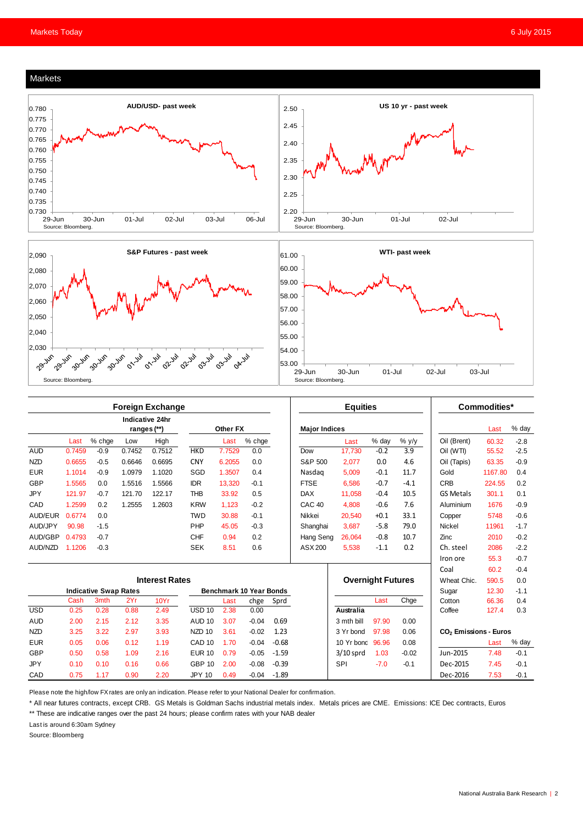#### Markets







|            | <b>Foreign Exchange</b>        |             |        |          |                                |        |         |                      | <b>Equities</b>   |                          |        |         | Commodities*                      |         |        |
|------------|--------------------------------|-------------|--------|----------|--------------------------------|--------|---------|----------------------|-------------------|--------------------------|--------|---------|-----------------------------------|---------|--------|
|            | Indicative 24hr<br>ranges (**) |             |        | Other FX |                                |        |         | <b>Major Indices</b> |                   |                          |        |         | Last                              | % day   |        |
|            | Last                           | % chge      | Low    | High     |                                | Last   | % chge  |                      |                   | Last                     | % day  | % y/y   | Oil (Brent)                       | 60.32   | $-2.8$ |
| <b>AUD</b> | 0.7459                         | $-0.9$      | 0.7452 | 0.7512   | <b>HKD</b>                     | 7.7529 | 0.0     |                      | Dow               | 17.730                   | $-0.2$ | 3.9     | Oil (WTI)                         | 55.52   | $-2.5$ |
| <b>NZD</b> | 0.6655                         | $-0.5$      | 0.6646 | 0.6695   | <b>CNY</b>                     | 6.2055 | 0.0     |                      | S&P 500           | 2,077                    | 0.0    | 4.6     | Oil (Tapis)                       | 63.35   | $-0.9$ |
| <b>EUR</b> | 1.1014                         | $-0.9$      | 1.0979 | 1.1020   | SGD                            | 1.3507 | 0.4     |                      | Nasdag            | 5.009                    | $-0.1$ | 11.7    | Gold                              | 1167.80 | 0.4    |
| <b>GBP</b> | 1.5565                         | 0.0         | 1.5516 | 1.5566   | <b>IDR</b>                     | 13,320 | $-0.1$  |                      | <b>FTSE</b>       | 6.586                    | $-0.7$ | $-4.1$  | <b>CRB</b>                        | 224.55  | 0.2    |
| <b>JPY</b> | 121.97                         | $-0.7$      | 121.70 | 122.17   | <b>THB</b>                     | 33.92  | 0.5     |                      | <b>DAX</b>        | 11,058                   | $-0.4$ | 10.5    | <b>GS Metals</b>                  | 301.1   | 0.1    |
| CAD        | 1.2599                         | 0.2         | 1.2555 | 1.2603   | <b>KRW</b>                     | 1,123  | $-0.2$  |                      | CAC <sub>40</sub> | 4.808                    | $-0.6$ | 7.6     | Aluminium                         | 1676    | $-0.9$ |
| AUD/EUR    | 0.6774                         | 0.0         |        |          | <b>TWD</b>                     | 30.88  | $-0.1$  |                      | Nikkei            | 20,540                   | $+0.1$ | 33.1    | Copper                            | 5748    | $-0.6$ |
| AUD/JPY    | 90.98                          | $-1.5$      |        |          | PHP                            | 45.05  | $-0.3$  |                      | Shanghai          | 3,687                    | $-5.8$ | 79.0    | <b>Nickel</b>                     | 11961   | $-1.7$ |
| AUD/GBP    | 0.4793                         | $-0.7$      |        |          | <b>CHF</b>                     | 0.94   | 0.2     |                      | Hang Seng         | 26.064                   | $-0.8$ | 10.7    | Zinc                              | 2010    | $-0.2$ |
| AUD/NZD    | 1.1206                         | $-0.3$      |        |          | <b>SEK</b>                     | 8.51   | 0.6     |                      | ASX 200           | 5,538                    | $-1.1$ | 0.2     | Ch. steel                         | 2086    | $-2.2$ |
|            |                                |             |        |          |                                |        |         |                      |                   |                          |        |         | Iron ore                          | 55.3    | $-0.7$ |
|            |                                |             |        |          |                                |        |         |                      |                   |                          |        |         | Coal                              | 60.2    | $-0.4$ |
|            | <b>Interest Rates</b>          |             |        |          |                                |        |         |                      |                   | <b>Overnight Futures</b> |        |         | Wheat Chic.                       | 590.5   | 0.0    |
|            | <b>Indicative Swap Rates</b>   |             |        |          | <b>Benchmark 10 Year Bonds</b> |        |         |                      |                   |                          |        | Sugar   | 12.30                             | $-1.1$  |        |
|            | Cash                           | <b>3mth</b> | 2Yr    | 10Yr     |                                | Last   | chge    | Sprd                 |                   |                          | Last   | Chge    | Cotton                            | 66.36   | 0.4    |
| <b>USD</b> | 0.25                           | 0.28        | 0.88   | 2.49     | $USD$ 10                       | 2.38   | 0.00    |                      |                   | Australia                |        |         | Coffee                            | 127.4   | 0.3    |
| <b>AUD</b> | 2.00                           | 2.15        | 2.12   | 3.35     | <b>AUD 10</b>                  | 3.07   | $-0.04$ | 0.69                 |                   | 3 mth bill               | 97.90  | 0.00    |                                   |         |        |
| <b>NZD</b> | 3.25                           | 3.22        | 2.97   | 3.93     | NZD <sub>10</sub>              | 3.61   | $-0.02$ | 1.23                 |                   | 3 Yr bond                | 97.98  | 0.06    | CO <sub>2</sub> Emissions - Euros |         |        |
| <b>EUR</b> | 0.05                           | 0.06        | 0.12   | 1.19     | CAD <sub>10</sub>              | 1.70   | $-0.04$ | $-0.68$              |                   | 10 Yr bond               | 96.96  | 0.08    |                                   | Last    | % day  |
| <b>GBP</b> | 0.50                           | 0.58        | 1.09   | 2.16     | <b>EUR 10</b>                  | 0.79   | $-0.05$ | $-1.59$              |                   | $3/10$ sprd              | 1.03   | $-0.02$ | Jun-2015                          | 7.48    | $-0.1$ |
| <b>JPY</b> | 0.10                           | 0.10        | 0.16   | 0.66     | <b>GBP 10</b>                  | 2.00   | $-0.08$ | $-0.39$              |                   | <b>SPI</b>               | $-7.0$ | $-0.1$  | Dec-2015                          | 7.45    | $-0.1$ |
| CAD        | 0.75                           | 1.17        | 0.90   | 2.20     | <b>JPY 10</b>                  | 0.49   | $-0.04$ | $-1.89$              |                   |                          |        |         | Dec-2016                          | 7.53    | $-0.1$ |

Please note the high/low FX rates are only an indication. Please refer to your National Dealer for confirmation.

\* All near futures contracts, except CRB. GS Metals is Goldman Sachs industrial metals index. Metals prices are CME. Emissions: ICE Dec contracts, Euros

\*\* These are indicative ranges over the past 24 hours; please confirm rates with your NAB dealer

Last is around 6:30am Sydney

Source: Bloomberg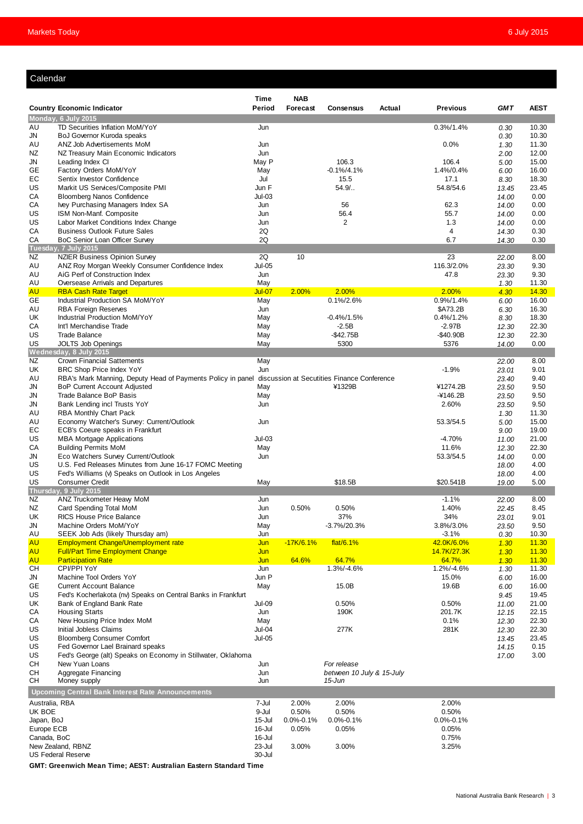## Calendar

| Calendar             |                                                                                         |                         |                               |                                             |        |                           |                |                |  |  |
|----------------------|-----------------------------------------------------------------------------------------|-------------------------|-------------------------------|---------------------------------------------|--------|---------------------------|----------------|----------------|--|--|
|                      |                                                                                         |                         |                               |                                             |        |                           |                |                |  |  |
|                      | <b>Country Economic Indicator</b>                                                       | Time<br>Period          | <b>NAB</b><br><b>Forecast</b> | <b>Consensus</b>                            | Actual | <b>Previous</b>           | <b>GMT</b>     | <b>AEST</b>    |  |  |
|                      | Monday, 6 July 2015                                                                     |                         |                               |                                             |        |                           |                |                |  |  |
| AU                   | TD Securities Inflation MoM/YoY                                                         | Jun                     |                               |                                             |        | $0.3\%/1.4\%$             | 0.30           | 10.30          |  |  |
| JN                   | BoJ Governor Kuroda speaks                                                              |                         |                               |                                             |        |                           | 0.30           | 10.30          |  |  |
| AU                   | ANZ Job Advertisements MoM                                                              | Jun                     |                               |                                             |        | $0.0\%$                   | 1.30           | 11.30          |  |  |
| ΝZ<br>JN             | NZ Treasury Main Economic Indicators<br>Leading Index CI                                | Jun<br>May P            |                               | 106.3                                       |        | 106.4                     | 2.00<br>5.00   | 12.00<br>15.00 |  |  |
| GЕ                   | Factory Orders MoM/YoY                                                                  | May                     |                               | $-0.1\%/4.1\%$                              |        | 1.4%/0.4%                 | 6.00           | 16.00          |  |  |
| EC                   | Sentix Investor Confidence                                                              | Jul                     |                               | 15.5                                        |        | 17.1                      | 8.30           | 18.30          |  |  |
| US                   | Markit US Services/Composite PMI                                                        | Jun F                   |                               | $54.9/$                                     |        | 54.8/54.6                 | 13.45          | 23.45          |  |  |
| CA                   | <b>Bloomberg Nanos Confidence</b>                                                       | $Jul-03$                |                               |                                             |        |                           | 14.00          | 0.00           |  |  |
| СA<br>US             | Ivey Purchasing Managers Index SA<br>ISM Non-Manf. Composite                            | Jun<br>Jun              |                               | 56<br>56.4                                  |        | 62.3<br>55.7              | 14.00<br>14.00 | 0.00<br>0.00   |  |  |
| US                   | Labor Market Conditions Index Change                                                    | Jun                     |                               | $\overline{2}$                              |        | 1.3                       | 14.00          | 0.00           |  |  |
| СA                   | <b>Business Outlook Future Sales</b>                                                    | 2Q                      |                               |                                             |        | $\overline{4}$            | 14.30          | 0.30           |  |  |
| СA                   | BoC Senior Loan Officer Survey                                                          | 2Q                      |                               |                                             |        | 6.7                       | 14.30          | 0.30           |  |  |
|                      | Tuesday, 7 July 2015                                                                    |                         |                               |                                             |        |                           |                |                |  |  |
| NZ<br>AU             | <b>NZIER Business Opinion Survey</b><br>ANZ Roy Morgan Weekly Consumer Confidence Index | 2Q<br><b>Jul-05</b>     | 10                            |                                             |        | 23<br>116.3/2.0%          | 22.00<br>23.30 | 8.00<br>9.30   |  |  |
| AU                   | AiG Perf of Construction Index                                                          | Jun                     |                               |                                             |        | 47.8                      | 23.30          | 9.30           |  |  |
| AU                   | Oversease Arrivals and Departures                                                       | May                     |                               |                                             |        |                           | 1.30           | 11.30          |  |  |
| <b>AU</b>            | <b>RBA Cash Rate Target</b>                                                             | Jul-07                  | 2.00%                         | 2.00%                                       |        | 2.00%                     | 4.30           | 14.30          |  |  |
| GE                   | Industrial Production SA MoM/YoY                                                        | May                     |                               | $0.1\%/2.6\%$                               |        | $0.9\%/1.4\%$             | 6.00           | 16.00          |  |  |
| AU                   | <b>RBA Foreign Reserves</b><br><b>Industrial Production MoM/YoY</b>                     | Jun                     |                               | $-0.4\%/1.5\%$                              |        | \$A73.2B<br>$0.4\%/1.2\%$ | 6.30           | 16.30<br>18.30 |  |  |
| UK<br>СA             | Int'l Merchandise Trade                                                                 | May<br>May              |                               | $-2.5B$                                     |        | -2.97B                    | 8.30<br>12.30  | 22.30          |  |  |
| US                   | <b>Trade Balance</b>                                                                    | May                     |                               | $-$ \$42.75B                                |        | $-$40.90B$                | 12.30          | 22.30          |  |  |
| US                   | <b>JOLTS Job Openings</b>                                                               | May                     |                               | 5300                                        |        | 5376                      | 14.00          | 0.00           |  |  |
|                      | Wednesday, 8 July 2015                                                                  |                         |                               |                                             |        |                           |                |                |  |  |
| NZ                   | <b>Crown Financial Sattements</b>                                                       | May                     |                               |                                             |        |                           | 22.00          | 8.00           |  |  |
| UK<br>AU             | BRC Shop Price Index YoY<br>RBA's Mark Manning, Deputy Head of Payments Policy in panel | Jun                     |                               | discussion at Secutities Finance Conference |        | $-1.9%$                   | 23.01<br>23.40 | 9.01<br>9.40   |  |  |
| JN                   | <b>BoP Current Account Adjusted</b>                                                     | May                     |                               | ¥1329B                                      |        | ¥1274.2B                  | 23.50          | 9.50           |  |  |
| JN                   | Trade Balance BoP Basis                                                                 | May                     |                               |                                             |        | $-4146.2B$                | 23.50          | 9.50           |  |  |
| JN                   | Bank Lending incl Trusts YoY                                                            | Jun                     |                               |                                             |        | 2.60%                     | 23.50          | 9.50           |  |  |
| AU                   | RBA Monthly Chart Pack                                                                  |                         |                               |                                             |        |                           | 1.30           | 11.30          |  |  |
| AU<br>EС             | Economy Watcher's Survey: Current/Outlook<br>ECB's Coeure speaks in Frankfurt           | Jun                     |                               |                                             |        | 53.3/54.5                 | 5.00<br>9.00   | 15.00<br>19.00 |  |  |
| US                   | <b>MBA Mortgage Applications</b>                                                        | $Jul-03$                |                               |                                             |        | $-4.70%$                  | 11.00          | 21.00          |  |  |
| CA                   | <b>Building Permits MoM</b>                                                             | May                     |                               |                                             |        | 11.6%                     | 12.30          | 22.30          |  |  |
| JN                   | Eco Watchers Survey Current/Outlook                                                     | Jun                     |                               |                                             |        | 53.3/54.5                 | 14.00          | 0.00           |  |  |
| US                   | U.S. Fed Releases Minutes from June 16-17 FOMC Meeting                                  |                         |                               |                                             |        |                           | 18.00          | 4.00           |  |  |
| US<br>US             | Fed's Williams (v) Speaks on Outlook in Los Angeles<br><b>Consumer Credit</b>           | May                     |                               | \$18.5B                                     |        | \$20.541B                 | 18.00<br>19.00 | 4.00<br>5.00   |  |  |
|                      | Thursday, 9 July 2015                                                                   |                         |                               |                                             |        |                           |                |                |  |  |
| NZ                   | ANZ Truckometer Heavy MoM                                                               | Jun                     |                               |                                             |        | $-1.1%$                   | 22.00          | 8.00           |  |  |
| NZ                   | Card Spending Total MoM                                                                 | Jun                     | 0.50%                         | 0.50%                                       |        | 1.40%                     | 22.45          | 8.45           |  |  |
| UK                   | RICS House Price Balance                                                                | Jun                     |                               | 37%                                         |        | 34%                       | 23.01          | 9.01           |  |  |
| JN<br>AU             | Machine Orders MoM/YoY<br>SEEK Job Ads (likely Thursday am)                             | May<br>Jun              |                               | -3.7%/20.3%                                 |        | 3.8%/3.0%<br>$-3.1%$      | 23.50<br>0.30  | 9.50<br>10.30  |  |  |
| <b>AU</b>            | <b>Employment Change/Unemployment rate</b>                                              | Jun                     | $-17K/6.1%$                   | flat/6.1%                                   |        | 42.0K/6.0%                | 1.30           | 11.30          |  |  |
| <b>AU</b>            | <b>Full/Part Time Employment Change</b>                                                 | Jun                     |                               |                                             |        | 14.7K/27.3K               | 1.30           | 11.30          |  |  |
| <b>AU</b>            | <b>Participation Rate</b>                                                               | Jun                     | 64.6%                         | 64.7%                                       |        | 64.7%                     | 1.30           | 11.30          |  |  |
| CН                   | CPI/PPI YoY                                                                             | Jun                     |                               | 1.3%/-4.6%                                  |        | 1.2%/-4.6%                | 1.30           | 11.30          |  |  |
| JN<br>GЕ             | Machine Tool Orders YoY<br><b>Current Account Balance</b>                               | Jun P<br>May            |                               | 15.0B                                       |        | 15.0%<br>19.6B            | 6.00<br>6.00   | 16.00<br>16.00 |  |  |
| US                   | Fed's Kocherlakota (nv) Speaks on Central Banks in Frankfurt                            |                         |                               |                                             |        |                           | 9.45           | 19.45          |  |  |
| UK                   | Bank of England Bank Rate                                                               | <b>Jul-09</b>           |                               | 0.50%                                       |        | 0.50%                     | 11.00          | 21.00          |  |  |
| СA                   | <b>Housing Starts</b>                                                                   | Jun                     |                               | 190K                                        |        | 201.7K                    | 12.15          | 22.15          |  |  |
| CA                   | New Housing Price Index MoM                                                             | May                     |                               |                                             |        | 0.1%                      | 12.30          | 22.30          |  |  |
| US<br>US             | <b>Initial Jobless Claims</b><br><b>Bloomberg Consumer Comfort</b>                      | Jul-04<br><b>Jul-05</b> |                               | 277K                                        |        | 281K                      | 12.30          | 22.30<br>23.45 |  |  |
| US                   | Fed Governor Lael Brainard speaks                                                       |                         |                               |                                             |        |                           | 13.45<br>14.15 | 0.15           |  |  |
| US                   | Fed's George (alt) Speaks on Economy in Stillwater, Oklahoma                            |                         |                               |                                             |        |                           | 17.00          | 3.00           |  |  |
| CН                   | New Yuan Loans                                                                          | Jun                     |                               | For release                                 |        |                           |                |                |  |  |
| CН                   | Aggregate Financing                                                                     | Jun                     |                               | between 10 July & 15-July                   |        |                           |                |                |  |  |
| CН                   | Money supply                                                                            | Jun                     |                               | $15$ -Jun                                   |        |                           |                |                |  |  |
|                      | <b>Upcoming Central Bank Interest Rate Announcements</b>                                |                         |                               |                                             |        |                           |                |                |  |  |
| Australia, RBA       |                                                                                         | 7-Jul                   | 2.00%                         | 2.00%                                       |        | 2.00%                     |                |                |  |  |
| UK BOE<br>Japan, BoJ |                                                                                         | 9-Jul<br>15-Jul         | 0.50%<br>$0.0\% - 0.1\%$      | 0.50%<br>$0.0\% - 0.1\%$                    |        | 0.50%<br>$0.0\% - 0.1\%$  |                |                |  |  |
| Europe ECB           |                                                                                         | 16-Jul                  | 0.05%                         | 0.05%                                       |        | 0.05%                     |                |                |  |  |
| Canada, BoC          |                                                                                         | 16-Jul                  |                               |                                             |        | 0.75%                     |                |                |  |  |
| New Zealand, RBNZ    |                                                                                         | 23-Jul                  | 3.00%                         | 3.00%                                       |        | 3.25%                     |                |                |  |  |
|                      | <b>US Federal Reserve</b>                                                               | 30-Jul                  |                               |                                             |        |                           |                |                |  |  |

**GMT: Greenwich Mean Time; AEST: Australian Eastern Standard Time**